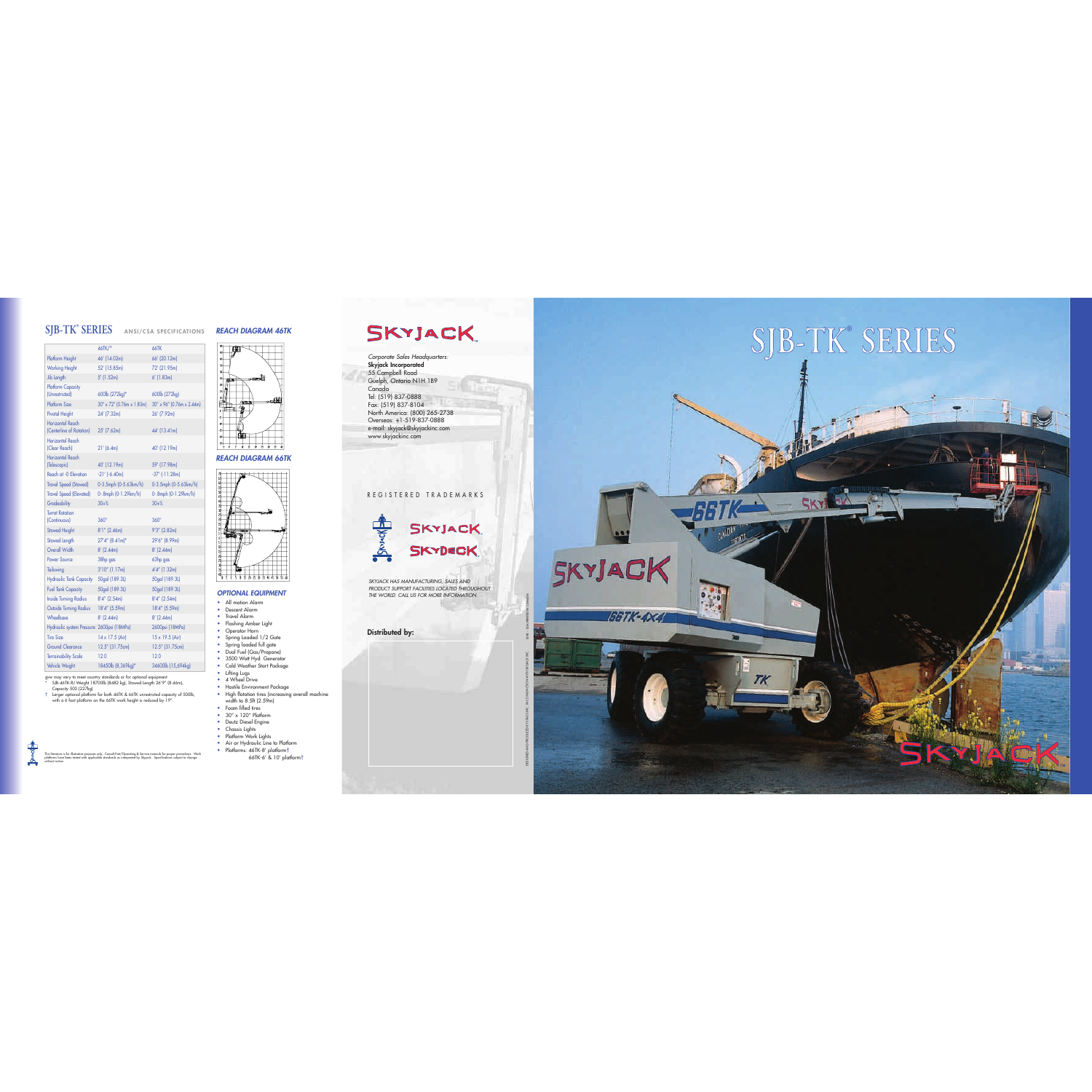Corporate Sales Headquarters: Skyjack Incorporated 55 Campbell Road Guelph, Ontario N1H 1B9 Canada Tel: (519) 837-0888 Fax: (519) 837-8104 North America: (800) 265-2738 Overseas: +1-519-837-0888 e-mail: skyjack@skyjackinc.com www.skyjackinc.com

#### REGISTERED TRADEMARKS



SKYJACK HAS MANUFACTURING, SALES AND PRODUCT SUPPORT FACILITIES LOCATED THROUGHOUT THE WORLD. CALL US FOR MORE INFORMATION.

#### Distributed by:

AND PRODUCED AND PRODUCED AND PRODUCED BY STAGS INC. INC. 1099 - 1099 - 1099 - 1099 - 1099 - 1099 - 1099 - 100

This literature is tor illustrative purposes only. Consult Part/Operating & Service manuals tor proper procedures. Work<br>platforms have been tested with applicable standards as interpreted by Skyjack. Specifications subject

 $\rightarrow$ 

#### OPTIONAL EQUIPMENT

- All motion Alarm
- Descent Alarm
- Travel Alarm
- Flashing Amber Light
- Operator Horn
- Spring Loaded 1/2 Gate
- Spring loaded full gate
- Dual Fuel (Gas/Propane)
- 3500 Watt Hyd. Generator
- Cold Weather Start Package
- Lifting Lugs
- 4 Wheel Drive
- Hostile Environment Package
- High flotation tires (increasing overall machine width to 8.5ft (2.59m)
- Foam filled tires
- $\bullet$  30" x 120" Platform
- Deutz Diesel Engine
- Chassis Lights
- Platform Work Lights
- Air or Hydraulic Line to Platform
- Platforms: 46TK-8' platform<sup>+</sup> 66TK-6' & 10' platform †

## **SKYJACK**

### **SJB-TK®**

gvw may vary to meet country standards or for optional equipment \* SJB-46TK-RJ Weight 18700lb (8482 kg), Stowed Length 26'9" (8.46m), Capacity 500 (227kg)

#### **SERIES** ANSI/CSA SPECIFICATIONS REACH DIAGRAM 46TK



† Larger optional platform for both 46TK & 66TK unrestricted capacity of 500lb, with a 6 foot platform on the 66TK work height is reduced by 19".

#### REACH DIAGRAM 66TK



## **S J B - T K ® S E R I E S**





TK

|                                                     | 46TK/*                    | <b>66TK</b>               |
|-----------------------------------------------------|---------------------------|---------------------------|
| Platform Height                                     | 46' (14.02m)              | 66' (20.12m)              |
| <b>Working Height</b>                               | 52' (15.85m)              | 72' (21.95m)              |
| Jib Length                                          | $5'$ (1.52m)              | $6'$ (1.83m)              |
| <b>Platform Capacity</b>                            |                           |                           |
| (Unrestricted)                                      | 600lb (272kg)*            | 600lb (272kg)             |
| <b>Platform Size</b>                                | 30" x 72" (0.76m x 1.83m) | 30" x 96" (0.76m x 2.44m) |
| <b>Pivotal Height</b>                               | 24' (7.32m)               | 26' (7.92m)               |
| <b>Horizontal Reach</b><br>(Centerline of Rotation) | 25' (7.62m)               | 44' (13.41m)              |
| <b>Horizontal Reach</b><br>(Clear Reach)            | 21' (6.4m)                | 40' (12.19m)              |
| <b>Horizontal Reach</b><br>(Telescopic)             | 40' (12.19m)              | 59' (17.98m)              |
| Reach at -0 Elevation                               | $-21'$ ( $-6.40m$ )       | $-37'$ ( $-11.28m$ )      |
| <b>Travel Speed (Stowed)</b>                        | 0-3.5mph (0-5.63km/h)     | 0-3.5mph (0-5.63km/h)     |
| <b>Travel Speed (Elevated)</b>                      | 0-.8mph (0-1.29km/h)      | 0-.8mph (0-1.29km/h)      |
| Gradeability                                        | $30 + %$                  | $30 + %$                  |
| <b>Turret Rotation</b><br>(Continuous)              | $360^\circ$               | $360^\circ$               |
| <b>Stowed Height</b>                                | $8'1''$ (2.46m)           | $9'3''$ (2.82m)           |
| Stowed Length                                       | 27'4" (8.41m)*            | 29'6" (8.99m)             |
| Overall Width                                       | $8'$ (2.44m)              | $8'$ (2.44m)              |
| <b>Power Source</b>                                 | 38hp gas                  | 63hp gas                  |
| Tailswing                                           | $3'10''$ (1.17m)          | $4'4''$ (1.32m)           |
| <b>Hydraulic Tank Capacity</b>                      | 50gal (189.3L)            | 50gal (189.3L)            |
| <b>Fuel Tank Capacity</b>                           | 50gal (189.3L)            | 50gal (189.3L)            |
| <b>Inside Turning Radius</b>                        | $8'4''$ (2.54m)           | $8'4''$ (2.54m)           |
| <b>Outside Turning Radius</b>                       | 18'4" (5.59m)             | 18'4" (5.59m)             |
| Wheelbase                                           | $8'$ (2.44m)              | $8'$ (2.44m)              |
| Hydraulic system Pressure 2600psi (18MPa)           |                           | 2600psi (18MPa)           |
| <b>Tire Size</b>                                    | 14 x 17.5 (Air)           | 15 x 19.5 (Air)           |
| <b>Ground Clearance</b>                             | 12.5" (31.75cm)           | 12.5" (31.75cm)           |
| <b>Terrainability Scale</b>                         | 12.0                      | 12.0                      |
| Vehicle Weight                                      | 18450lb (8,369kg)*        | 34600lb (15,694kg)        |
|                                                     |                           |                           |